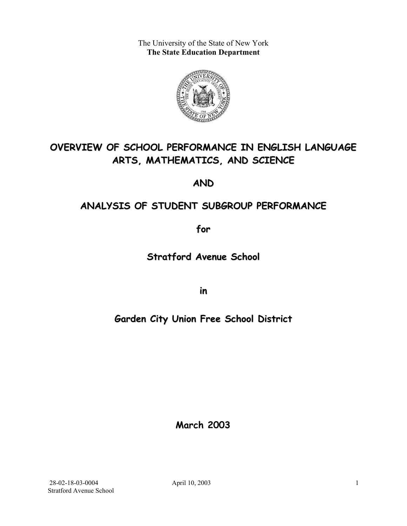The University of the State of New York **The State Education Department** 



# **OVERVIEW OF SCHOOL PERFORMANCE IN ENGLISH LANGUAGE ARTS, MATHEMATICS, AND SCIENCE**

**AND**

# **ANALYSIS OF STUDENT SUBGROUP PERFORMANCE**

**for**

**Stratford Avenue School**

**in**

# **Garden City Union Free School District**

**March 2003**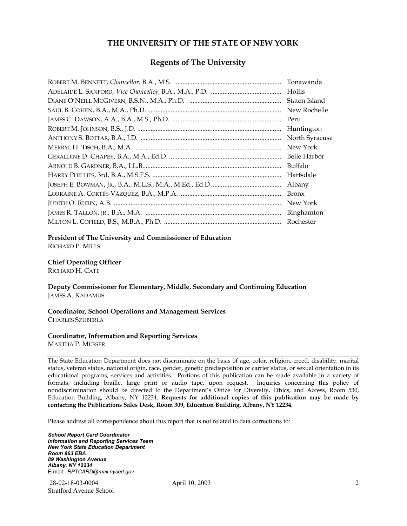#### **THE UNIVERSITY OF THE STATE OF NEW YORK**

#### **Regents of The University**

| Tonawanda      |
|----------------|
| Hollis         |
| Staten Island  |
| New Rochelle   |
| Peru           |
| Huntington     |
| North Syracuse |
| New York       |
| Belle Harbor   |
| Buffalo        |
| Hartsdale      |
| Albany         |
| <b>Bronx</b>   |
| New York       |
|                |
| Rochester      |

#### **President of The University and Commissioner of Education**

RICHARD P. MILLS

#### **Chief Operating Officer**

RICHARD H. CATE

**Deputy Commissioner for Elementary, Middle, Secondary and Continuing Education**  JAMES A. KADAMUS

#### **Coordinator, School Operations and Management Services**  CHARLES SZUBERLA

#### **Coordinator, Information and Reporting Services**

MARTHA P. MUSSER

The State Education Department does not discriminate on the basis of age, color, religion, creed, disability, marital status, veteran status, national origin, race, gender, genetic predisposition or carrier status, or sexual orientation in its educational programs, services and activities. Portions of this publication can be made available in a variety of formats, including braille, large print or audio tape, upon request. Inquiries concerning this policy of nondiscrimination should be directed to the Department's Office for Diversity, Ethics, and Access, Room 530, Education Building, Albany, NY 12234. **Requests for additional copies of this publication may be made by contacting the Publications Sales Desk, Room 309, Education Building, Albany, NY 12234.** 

Please address all correspondence about this report that is not related to data corrections to:

*School Report Card Coordinator Information and Reporting Services Team New York State Education Department Room 863 EBA 89 Washington Avenue Albany, NY 12234*  E-mail: *RPTCARD@mail.nysed.gov*

 28-02-18-03-0004 April 10, 2003 Stratford Avenue School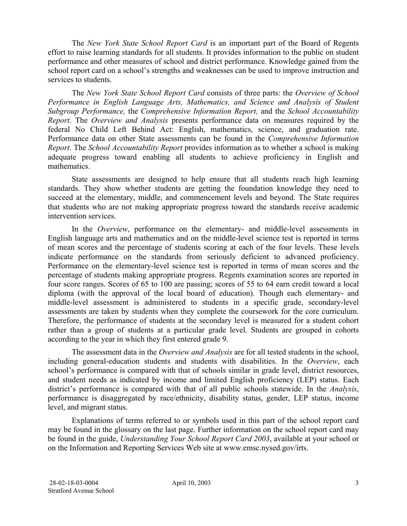The *New York State School Report Card* is an important part of the Board of Regents effort to raise learning standards for all students. It provides information to the public on student performance and other measures of school and district performance. Knowledge gained from the school report card on a school's strengths and weaknesses can be used to improve instruction and services to students.

The *New York State School Report Card* consists of three parts: the *Overview of School Performance in English Language Arts, Mathematics, and Science and Analysis of Student Subgroup Performance,* the *Comprehensive Information Report,* and the *School Accountability Report*. The *Overview and Analysis* presents performance data on measures required by the federal No Child Left Behind Act: English, mathematics, science, and graduation rate. Performance data on other State assessments can be found in the *Comprehensive Information Report*. The *School Accountability Report* provides information as to whether a school is making adequate progress toward enabling all students to achieve proficiency in English and mathematics.

State assessments are designed to help ensure that all students reach high learning standards. They show whether students are getting the foundation knowledge they need to succeed at the elementary, middle, and commencement levels and beyond. The State requires that students who are not making appropriate progress toward the standards receive academic intervention services.

In the *Overview*, performance on the elementary- and middle-level assessments in English language arts and mathematics and on the middle-level science test is reported in terms of mean scores and the percentage of students scoring at each of the four levels. These levels indicate performance on the standards from seriously deficient to advanced proficiency. Performance on the elementary-level science test is reported in terms of mean scores and the percentage of students making appropriate progress. Regents examination scores are reported in four score ranges. Scores of 65 to 100 are passing; scores of 55 to 64 earn credit toward a local diploma (with the approval of the local board of education). Though each elementary- and middle-level assessment is administered to students in a specific grade, secondary-level assessments are taken by students when they complete the coursework for the core curriculum. Therefore, the performance of students at the secondary level is measured for a student cohort rather than a group of students at a particular grade level. Students are grouped in cohorts according to the year in which they first entered grade 9.

The assessment data in the *Overview and Analysis* are for all tested students in the school, including general-education students and students with disabilities. In the *Overview*, each school's performance is compared with that of schools similar in grade level, district resources, and student needs as indicated by income and limited English proficiency (LEP) status. Each district's performance is compared with that of all public schools statewide. In the *Analysis*, performance is disaggregated by race/ethnicity, disability status, gender, LEP status, income level, and migrant status.

Explanations of terms referred to or symbols used in this part of the school report card may be found in the glossary on the last page. Further information on the school report card may be found in the guide, *Understanding Your School Report Card 2003*, available at your school or on the Information and Reporting Services Web site at www.emsc.nysed.gov/irts.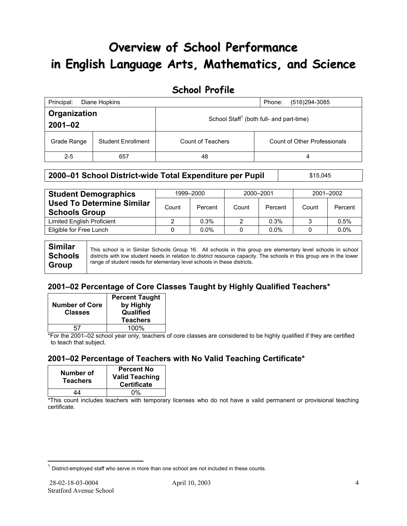# **Overview of School Performance in English Language Arts, Mathematics, and Science**

### **School Profile**

| Principal:                               | Diane Hopkins | Phone:<br>(516)294-3085 |                                                      |
|------------------------------------------|---------------|-------------------------|------------------------------------------------------|
| Organization<br>$2001 - 02$              |               |                         | School Staff <sup>1</sup> (both full- and part-time) |
| <b>Student Enrollment</b><br>Grade Range |               | Count of Teachers       | Count of Other Professionals                         |
| $2 - 5$                                  | 657           | 48                      | 4                                                    |

#### **2000–01 School District-wide Total Expenditure per Pupil | \$15,045**

| <b>Student Demographics</b>                              | 1999-2000 |         | 2000-2001 |         | 2001-2002 |         |
|----------------------------------------------------------|-----------|---------|-----------|---------|-----------|---------|
| <b>Used To Determine Similar</b><br><b>Schools Group</b> | Count     | Percent | Count     | Percent | Count     | Percent |
| <b>Limited English Proficient</b>                        |           | 0.3%    |           | 0.3%    |           | 0.5%    |
| Eligible for Free Lunch                                  |           | $0.0\%$ |           | $0.0\%$ |           | $0.0\%$ |
|                                                          |           |         |           |         |           |         |

**Similar Schools Group**  This school is in Similar Schools Group 16. All schools in this group are elementary level schools in school districts with low student needs in relation to district resource capacity. The schools in this group are in the lower range of student needs for elementary level schools in these districts.

### **2001–02 Percentage of Core Classes Taught by Highly Qualified Teachers\***

| <b>Number of Core</b><br><b>Classes</b> | <b>Percent Taught</b><br>by Highly<br>Qualified<br><b>Teachers</b> |
|-----------------------------------------|--------------------------------------------------------------------|
| 51                                      | 100%                                                               |

\*For the 2001–02 school year only, teachers of core classes are considered to be highly qualified if they are certified to teach that subject.

### **2001–02 Percentage of Teachers with No Valid Teaching Certificate\***

| Number of<br><b>Teachers</b> | <b>Percent No</b><br><b>Valid Teaching</b><br><b>Certificate</b> |
|------------------------------|------------------------------------------------------------------|
| 44                           | በ%                                                               |

\*This count includes teachers with temporary licenses who do not have a valid permanent or provisional teaching certificate.

 $\overline{a}$ 

 $1$  District-employed staff who serve in more than one school are not included in these counts.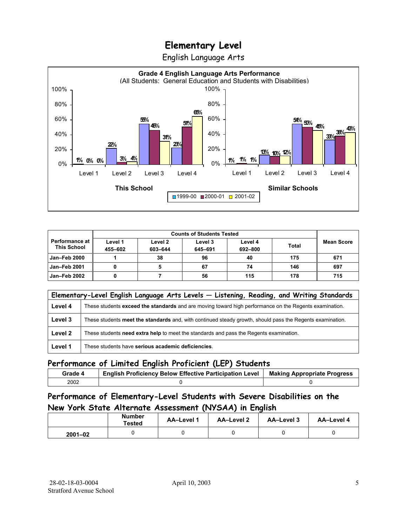English Language Arts



|                                             | <b>Counts of Students Tested</b> |                    |                    |                    |              |                   |
|---------------------------------------------|----------------------------------|--------------------|--------------------|--------------------|--------------|-------------------|
| <b>Performance at</b><br><b>This School</b> | Level 1<br>455-602               | Level 2<br>603-644 | Level 3<br>645-691 | Level 4<br>692-800 | <b>Total</b> | <b>Mean Score</b> |
| Jan-Feb 2000                                |                                  | 38                 | 96                 | 40                 | 175          | 671               |
| Jan-Feb 2001                                |                                  |                    | 67                 | 74                 | 146          | 697               |
| Jan-Feb 2002                                |                                  |                    | 56                 | 115                | 178          | 715               |

|         | Elementary-Level English Language Arts Levels - Listening, Reading, and Writing Standards                 |  |  |  |  |  |  |
|---------|-----------------------------------------------------------------------------------------------------------|--|--|--|--|--|--|
| Level 4 | These students exceed the standards and are moving toward high performance on the Regents examination.    |  |  |  |  |  |  |
| Level 3 | These students meet the standards and, with continued steady growth, should pass the Regents examination. |  |  |  |  |  |  |
| Level 2 | These students need extra help to meet the standards and pass the Regents examination.                    |  |  |  |  |  |  |
| Level 1 | These students have serious academic deficiencies.                                                        |  |  |  |  |  |  |

#### **Performance of Limited English Proficient (LEP) Students**

| Grade 4 | <b>English Proficiency Below Effective Participation Level</b> | <b>Making Appropriate Progress</b> |
|---------|----------------------------------------------------------------|------------------------------------|
| 2002    |                                                                |                                    |

### **Performance of Elementary-Level Students with Severe Disabilities on the New York State Alternate Assessment (NYSAA) in English**

| Number<br>Tested |  | <b>AA-Level 1</b> | AA-Level 2 | AA-Level 3 | AA-Level 4 |
|------------------|--|-------------------|------------|------------|------------|
| $2001 - 02$      |  |                   |            |            |            |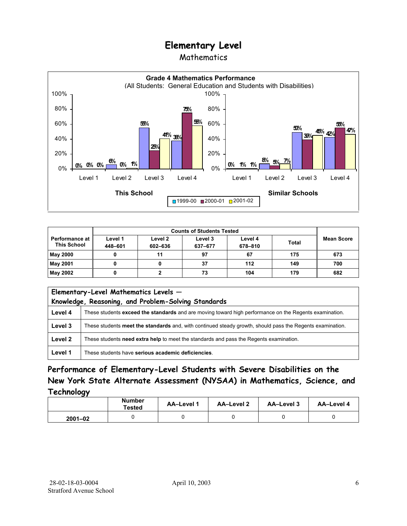### Mathematics



| <b>Performance at I</b><br><b>This School</b> | Level 1<br>448-601 | Level 2<br>602-636 | Level 3<br>637-677 | Level 4<br>678-810 | <b>Total</b> | <b>Mean Score</b> |
|-----------------------------------------------|--------------------|--------------------|--------------------|--------------------|--------------|-------------------|
| <b>May 2000</b>                               |                    | 11                 | 97                 | 67                 | 175          | 673               |
| May 2001                                      |                    |                    | 37                 | 112                | 149          | 700               |
| May 2002                                      |                    |                    | 73                 | 104                | 179          | 682               |

| Elementary-Level Mathematics Levels -<br>Knowledge, Reasoning, and Problem-Solving Standards |                                                                                                           |  |  |  |  |
|----------------------------------------------------------------------------------------------|-----------------------------------------------------------------------------------------------------------|--|--|--|--|
| Level 4                                                                                      | These students exceed the standards and are moving toward high performance on the Regents examination.    |  |  |  |  |
| Level 3                                                                                      | These students meet the standards and, with continued steady growth, should pass the Regents examination. |  |  |  |  |
| Level 2                                                                                      | These students need extra help to meet the standards and pass the Regents examination.                    |  |  |  |  |
| Level 1                                                                                      | These students have serious academic deficiencies.                                                        |  |  |  |  |

### **Performance of Elementary-Level Students with Severe Disabilities on the New York State Alternate Assessment (NYSAA) in Mathematics, Science, and Technology**

|             | <b>Number</b><br>Tested | <b>AA-Level 1</b> | <b>AA-Level 2</b> | <b>AA-Level 3</b> | <b>AA-Level 4</b> |
|-------------|-------------------------|-------------------|-------------------|-------------------|-------------------|
| $2001 - 02$ |                         |                   |                   |                   |                   |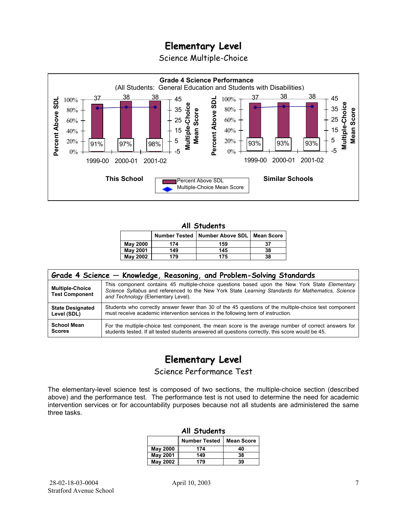Science Multiple-Choice



#### **All Students**

|                 |     | Number Tested   Number Above SDL   Mean Score |    |
|-----------------|-----|-----------------------------------------------|----|
| <b>May 2000</b> | 174 | 159                                           | 37 |
| <b>May 2001</b> | 149 | 145                                           | 38 |
| <b>May 2002</b> | 179 | 175                                           | 38 |

| Grade 4 Science - Knowledge, Reasoning, and Problem-Solving Standards |                                                                                                                                                                                                                                          |  |  |  |  |  |
|-----------------------------------------------------------------------|------------------------------------------------------------------------------------------------------------------------------------------------------------------------------------------------------------------------------------------|--|--|--|--|--|
| <b>Multiple-Choice</b><br><b>Test Component</b>                       | This component contains 45 multiple-choice questions based upon the New York State Elementary<br>Science Syllabus and referenced to the New York State Learning Standards for Mathematics, Science<br>and Technology (Elementary Level). |  |  |  |  |  |
| <b>State Designated</b>                                               | Students who correctly answer fewer than 30 of the 45 questions of the multiple-choice test component                                                                                                                                    |  |  |  |  |  |
| Level (SDL)                                                           | must receive academic intervention services in the following term of instruction.                                                                                                                                                        |  |  |  |  |  |
| <b>School Mean</b>                                                    | For the multiple-choice test component, the mean score is the average number of correct answers for                                                                                                                                      |  |  |  |  |  |
| <b>Scores</b>                                                         | students tested. If all tested students answered all questions correctly, this score would be 45.                                                                                                                                        |  |  |  |  |  |

# **Elementary Level**

Science Performance Test

The elementary-level science test is composed of two sections, the multiple-choice section (described above) and the performance test. The performance test is not used to determine the need for academic intervention services or for accountability purposes because not all students are administered the same three tasks.

| All Students    |                                           |    |  |  |  |  |  |
|-----------------|-------------------------------------------|----|--|--|--|--|--|
|                 | <b>Number Tested</b><br><b>Mean Score</b> |    |  |  |  |  |  |
| May 2000        | 174                                       | 40 |  |  |  |  |  |
| <b>May 2001</b> | 149                                       | 38 |  |  |  |  |  |
| <b>May 2002</b> | 179                                       | 39 |  |  |  |  |  |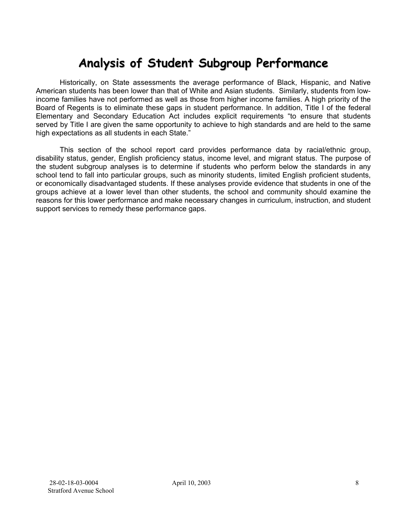# **Analysis of Student Subgroup Performance**

Historically, on State assessments the average performance of Black, Hispanic, and Native American students has been lower than that of White and Asian students. Similarly, students from lowincome families have not performed as well as those from higher income families. A high priority of the Board of Regents is to eliminate these gaps in student performance. In addition, Title I of the federal Elementary and Secondary Education Act includes explicit requirements "to ensure that students served by Title I are given the same opportunity to achieve to high standards and are held to the same high expectations as all students in each State."

This section of the school report card provides performance data by racial/ethnic group, disability status, gender, English proficiency status, income level, and migrant status. The purpose of the student subgroup analyses is to determine if students who perform below the standards in any school tend to fall into particular groups, such as minority students, limited English proficient students, or economically disadvantaged students. If these analyses provide evidence that students in one of the groups achieve at a lower level than other students, the school and community should examine the reasons for this lower performance and make necessary changes in curriculum, instruction, and student support services to remedy these performance gaps.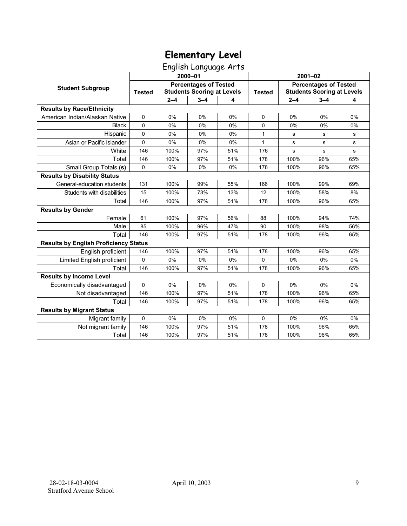English Language Arts

|                                              | 2000-01                                                                            |         |         |               | $2001 - 02$                                                       |             |         |     |
|----------------------------------------------|------------------------------------------------------------------------------------|---------|---------|---------------|-------------------------------------------------------------------|-------------|---------|-----|
| <b>Student Subgroup</b>                      | <b>Percentages of Tested</b><br><b>Students Scoring at Levels</b><br><b>Tested</b> |         |         | <b>Tested</b> | <b>Percentages of Tested</b><br><b>Students Scoring at Levels</b> |             |         |     |
|                                              |                                                                                    | $2 - 4$ | $3 - 4$ | 4             |                                                                   | $2 - 4$     | $3 - 4$ | 4   |
| <b>Results by Race/Ethnicity</b>             |                                                                                    |         |         |               |                                                                   |             |         |     |
| American Indian/Alaskan Native               | 0                                                                                  | 0%      | 0%      | 0%            | $\Omega$                                                          | 0%          | 0%      | 0%  |
| <b>Black</b>                                 | $\Omega$                                                                           | $0\%$   | 0%      | $0\%$         | $\Omega$                                                          | 0%          | 0%      | 0%  |
| Hispanic                                     | $\Omega$                                                                           | 0%      | 0%      | 0%            | $\mathbf{1}$                                                      | s           | s       | s   |
| Asian or Pacific Islander                    | 0                                                                                  | 0%      | 0%      | 0%            | $\mathbf{1}$                                                      | $\mathbf s$ | s       | s   |
| White                                        | 146                                                                                | 100%    | 97%     | 51%           | 176                                                               | $\mathbf S$ | s       | s   |
| Total                                        | 146                                                                                | 100%    | 97%     | 51%           | 178                                                               | 100%        | 96%     | 65% |
| Small Group Totals (s)                       | $\mathbf 0$                                                                        | 0%      | 0%      | 0%            | 178                                                               | 100%        | 96%     | 65% |
| <b>Results by Disability Status</b>          |                                                                                    |         |         |               |                                                                   |             |         |     |
| General-education students                   | 131                                                                                | 100%    | 99%     | 55%           | 166                                                               | 100%        | 99%     | 69% |
| Students with disabilities                   | 15                                                                                 | 100%    | 73%     | 13%           | 12                                                                | 100%        | 58%     | 8%  |
| Total                                        | 146                                                                                | 100%    | 97%     | 51%           | 178                                                               | 100%        | 96%     | 65% |
| <b>Results by Gender</b>                     |                                                                                    |         |         |               |                                                                   |             |         |     |
| Female                                       | 61                                                                                 | 100%    | 97%     | 56%           | 88                                                                | 100%        | 94%     | 74% |
| Male                                         | 85                                                                                 | 100%    | 96%     | 47%           | 90                                                                | 100%        | 98%     | 56% |
| Total                                        | 146                                                                                | 100%    | 97%     | 51%           | 178                                                               | 100%        | 96%     | 65% |
| <b>Results by English Proficiency Status</b> |                                                                                    |         |         |               |                                                                   |             |         |     |
| English proficient                           | 146                                                                                | 100%    | 97%     | 51%           | 178                                                               | 100%        | 96%     | 65% |
| Limited English proficient                   | 0                                                                                  | 0%      | 0%      | 0%            | 0                                                                 | 0%          | 0%      | 0%  |
| Total                                        | 146                                                                                | 100%    | 97%     | 51%           | 178                                                               | 100%        | 96%     | 65% |
| <b>Results by Income Level</b>               |                                                                                    |         |         |               |                                                                   |             |         |     |
| Economically disadvantaged                   | 0                                                                                  | 0%      | 0%      | 0%            | 0                                                                 | 0%          | 0%      | 0%  |
| Not disadvantaged                            | 146                                                                                | 100%    | 97%     | 51%           | 178                                                               | 100%        | 96%     | 65% |
| Total                                        | 146                                                                                | 100%    | 97%     | 51%           | 178                                                               | 100%        | 96%     | 65% |
| <b>Results by Migrant Status</b>             |                                                                                    |         |         |               |                                                                   |             |         |     |
| Migrant family                               | 0                                                                                  | 0%      | 0%      | 0%            | $\Omega$                                                          | 0%          | 0%      | 0%  |
| Not migrant family                           | 146                                                                                | 100%    | 97%     | 51%           | 178                                                               | 100%        | 96%     | 65% |
| Total                                        | 146                                                                                | 100%    | 97%     | 51%           | 178                                                               | 100%        | 96%     | 65% |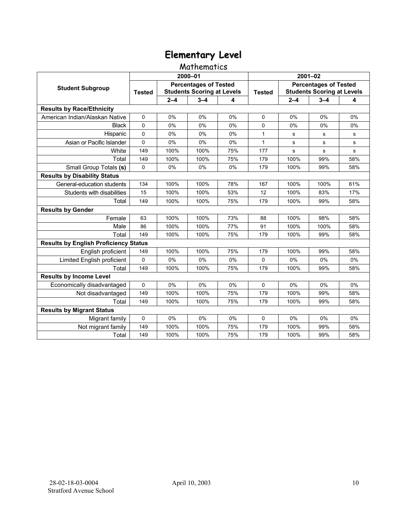#### Mathematics

|                                              | 2000-01                                                                            |         |         |               | $2001 - 02$                                                       |             |         |     |
|----------------------------------------------|------------------------------------------------------------------------------------|---------|---------|---------------|-------------------------------------------------------------------|-------------|---------|-----|
| <b>Student Subgroup</b>                      | <b>Percentages of Tested</b><br><b>Students Scoring at Levels</b><br><b>Tested</b> |         |         | <b>Tested</b> | <b>Percentages of Tested</b><br><b>Students Scoring at Levels</b> |             |         |     |
|                                              |                                                                                    | $2 - 4$ | $3 - 4$ | 4             |                                                                   | $2 - 4$     | $3 - 4$ | 4   |
| <b>Results by Race/Ethnicity</b>             |                                                                                    |         |         |               |                                                                   |             |         |     |
| American Indian/Alaskan Native               | $\Omega$                                                                           | 0%      | 0%      | 0%            | $\Omega$                                                          | 0%          | 0%      | 0%  |
| <b>Black</b>                                 | $\mathbf 0$                                                                        | 0%      | 0%      | 0%            | $\mathbf 0$                                                       | 0%          | 0%      | 0%  |
| Hispanic                                     | $\mathbf 0$                                                                        | 0%      | $0\%$   | 0%            | $\mathbf{1}$                                                      | s           | s       | s   |
| Asian or Pacific Islander                    | 0                                                                                  | 0%      | 0%      | 0%            | $\mathbf{1}$                                                      | $\mathbf s$ | s       | s   |
| White                                        | 149                                                                                | 100%    | 100%    | 75%           | 177                                                               | s           | s       | s   |
| Total                                        | 149                                                                                | 100%    | 100%    | 75%           | 179                                                               | 100%        | 99%     | 58% |
| Small Group Totals (s)                       | $\Omega$                                                                           | 0%      | 0%      | 0%            | 179                                                               | 100%        | 99%     | 58% |
| <b>Results by Disability Status</b>          |                                                                                    |         |         |               |                                                                   |             |         |     |
| General-education students                   | 134                                                                                | 100%    | 100%    | 78%           | 167                                                               | 100%        | 100%    | 61% |
| Students with disabilities                   | 15                                                                                 | 100%    | 100%    | 53%           | 12                                                                | 100%        | 83%     | 17% |
| Total                                        | 149                                                                                | 100%    | 100%    | 75%           | 179                                                               | 100%        | 99%     | 58% |
| <b>Results by Gender</b>                     |                                                                                    |         |         |               |                                                                   |             |         |     |
| Female                                       | 63                                                                                 | 100%    | 100%    | 73%           | 88                                                                | 100%        | 98%     | 58% |
| Male                                         | 86                                                                                 | 100%    | 100%    | 77%           | 91                                                                | 100%        | 100%    | 58% |
| Total                                        | 149                                                                                | 100%    | 100%    | 75%           | 179                                                               | 100%        | 99%     | 58% |
| <b>Results by English Proficiency Status</b> |                                                                                    |         |         |               |                                                                   |             |         |     |
| English proficient                           | 149                                                                                | 100%    | 100%    | 75%           | 179                                                               | 100%        | 99%     | 58% |
| Limited English proficient                   | $\Omega$                                                                           | 0%      | 0%      | 0%            | $\Omega$                                                          | 0%          | 0%      | 0%  |
| Total                                        | 149                                                                                | 100%    | 100%    | 75%           | 179                                                               | 100%        | 99%     | 58% |
| <b>Results by Income Level</b>               |                                                                                    |         |         |               |                                                                   |             |         |     |
| Economically disadvantaged                   | $\Omega$                                                                           | 0%      | 0%      | 0%            | $\Omega$                                                          | 0%          | 0%      | 0%  |
| Not disadvantaged                            | 149                                                                                | 100%    | 100%    | 75%           | 179                                                               | 100%        | 99%     | 58% |
| Total                                        | 149                                                                                | 100%    | 100%    | 75%           | 179                                                               | 100%        | 99%     | 58% |
| <b>Results by Migrant Status</b>             |                                                                                    |         |         |               |                                                                   |             |         |     |
| Migrant family                               | $\mathbf 0$                                                                        | 0%      | 0%      | 0%            | $\Omega$                                                          | 0%          | 0%      | 0%  |
| Not migrant family                           | 149                                                                                | 100%    | 100%    | 75%           | 179                                                               | 100%        | 99%     | 58% |
| Total                                        | 149                                                                                | 100%    | 100%    | 75%           | 179                                                               | 100%        | 99%     | 58% |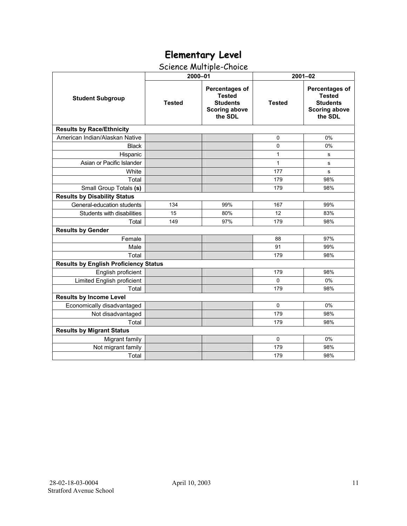## Science Multiple-Choice

|                                              | 2000-01       |                                                                                       | $2001 - 02$   |                                                                                              |  |  |  |
|----------------------------------------------|---------------|---------------------------------------------------------------------------------------|---------------|----------------------------------------------------------------------------------------------|--|--|--|
| <b>Student Subgroup</b>                      | <b>Tested</b> | Percentages of<br><b>Tested</b><br><b>Students</b><br><b>Scoring above</b><br>the SDL | <b>Tested</b> | <b>Percentages of</b><br><b>Tested</b><br><b>Students</b><br><b>Scoring above</b><br>the SDL |  |  |  |
| <b>Results by Race/Ethnicity</b>             |               |                                                                                       |               |                                                                                              |  |  |  |
| American Indian/Alaskan Native               |               |                                                                                       | 0             | 0%                                                                                           |  |  |  |
| <b>Black</b>                                 |               |                                                                                       | 0             | 0%                                                                                           |  |  |  |
| Hispanic                                     |               |                                                                                       | $\mathbf{1}$  | s                                                                                            |  |  |  |
| Asian or Pacific Islander                    |               |                                                                                       | $\mathbf{1}$  | s                                                                                            |  |  |  |
| White                                        |               |                                                                                       | 177           | s                                                                                            |  |  |  |
| Total                                        |               |                                                                                       | 179           | 98%                                                                                          |  |  |  |
| Small Group Totals (s)                       |               |                                                                                       | 179           | 98%                                                                                          |  |  |  |
| <b>Results by Disability Status</b>          |               |                                                                                       |               |                                                                                              |  |  |  |
| General-education students                   | 134           | 99%                                                                                   | 167           | 99%                                                                                          |  |  |  |
| Students with disabilities                   | 15            | 80%                                                                                   | 12            | 83%                                                                                          |  |  |  |
| Total                                        | 149           | 97%                                                                                   | 179           | 98%                                                                                          |  |  |  |
| <b>Results by Gender</b>                     |               |                                                                                       |               |                                                                                              |  |  |  |
| Female                                       |               |                                                                                       | 88            | 97%                                                                                          |  |  |  |
| Male                                         |               |                                                                                       | 91            | 99%                                                                                          |  |  |  |
| Total                                        |               |                                                                                       | 179           | 98%                                                                                          |  |  |  |
| <b>Results by English Proficiency Status</b> |               |                                                                                       |               |                                                                                              |  |  |  |
| English proficient                           |               |                                                                                       | 179           | 98%                                                                                          |  |  |  |
| Limited English proficient                   |               |                                                                                       | $\Omega$      | 0%                                                                                           |  |  |  |
| Total                                        |               |                                                                                       | 179           | 98%                                                                                          |  |  |  |
| <b>Results by Income Level</b>               |               |                                                                                       |               |                                                                                              |  |  |  |
| Economically disadvantaged                   |               |                                                                                       | $\Omega$      | 0%                                                                                           |  |  |  |
| Not disadvantaged                            |               |                                                                                       | 179           | 98%                                                                                          |  |  |  |
| Total                                        |               |                                                                                       | 179           | 98%                                                                                          |  |  |  |
| <b>Results by Migrant Status</b>             |               |                                                                                       |               |                                                                                              |  |  |  |
| Migrant family                               |               |                                                                                       | $\mathbf 0$   | 0%                                                                                           |  |  |  |
| Not migrant family                           |               |                                                                                       | 179           | 98%                                                                                          |  |  |  |
| Total                                        |               |                                                                                       | 179           | 98%                                                                                          |  |  |  |